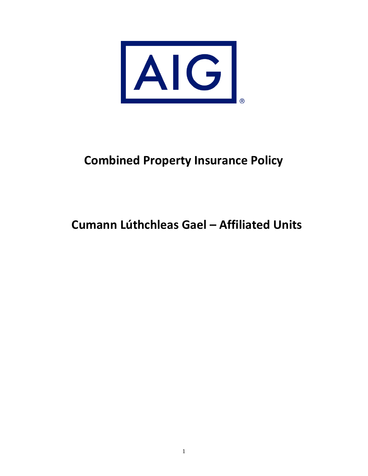

## **Combined Property Insurance Policy**

## **Cumann Lúthchleas Gael – Affiliated Units**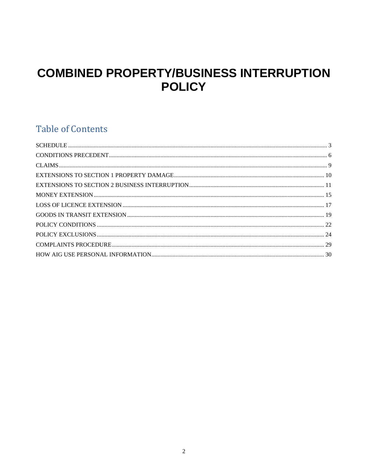## **COMBINED PROPERTY/BUSINESS INTERRUPTION POLICY**

## **Table of Contents**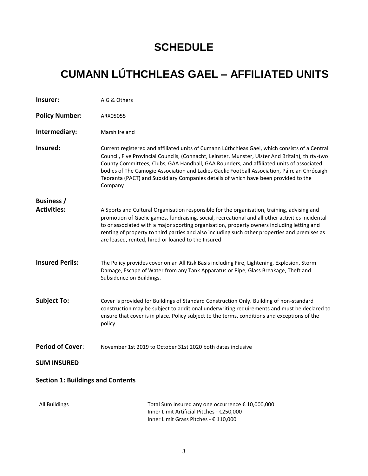## **SCHEDULE**

# <span id="page-2-0"></span>**CUMANN LÚTHCHLEAS GAEL – AFFILIATED UNITS**

| Insurer:                                 | AIG & Others                                                                                                                                                                                                                                                                                                                                                                                                                                                                                     |  |  |
|------------------------------------------|--------------------------------------------------------------------------------------------------------------------------------------------------------------------------------------------------------------------------------------------------------------------------------------------------------------------------------------------------------------------------------------------------------------------------------------------------------------------------------------------------|--|--|
| <b>Policy Number:</b>                    | ARX05055                                                                                                                                                                                                                                                                                                                                                                                                                                                                                         |  |  |
| Intermediary:                            | Marsh Ireland                                                                                                                                                                                                                                                                                                                                                                                                                                                                                    |  |  |
| Insured:                                 | Current registered and affiliated units of Cumann Lúthchleas Gael, which consists of a Central<br>Council, Five Provincial Councils, (Connacht, Leinster, Munster, Ulster And Britain), thirty-two<br>County Committees, Clubs, GAA Handball, GAA Rounders, and affiliated units of associated<br>bodies of The Camogie Association and Ladies Gaelic Football Association, Páirc an Chrócaigh<br>Teoranta (PACT) and Subsidiary Companies details of which have been provided to the<br>Company |  |  |
| <b>Business</b> /                        |                                                                                                                                                                                                                                                                                                                                                                                                                                                                                                  |  |  |
| <b>Activities:</b>                       | A Sports and Cultural Organisation responsible for the organisation, training, advising and<br>promotion of Gaelic games, fundraising, social, recreational and all other activities incidental<br>to or associated with a major sporting organisation, property owners including letting and<br>renting of property to third parties and also including such other properties and premises as<br>are leased, rented, hired or loaned to the Insured                                             |  |  |
| <b>Insured Perils:</b>                   | The Policy provides cover on an All Risk Basis including Fire, Lightening, Explosion, Storm<br>Damage, Escape of Water from any Tank Apparatus or Pipe, Glass Breakage, Theft and<br>Subsidence on Buildings.                                                                                                                                                                                                                                                                                    |  |  |
| <b>Subject To:</b>                       | Cover is provided for Buildings of Standard Construction Only. Building of non-standard<br>construction may be subject to additional underwriting requirements and must be declared to<br>ensure that cover is in place. Policy subject to the terms, conditions and exceptions of the<br>policy                                                                                                                                                                                                 |  |  |
| <b>Period of Cover:</b>                  | November 1st 2019 to October 31st 2020 both dates inclusive                                                                                                                                                                                                                                                                                                                                                                                                                                      |  |  |
| <b>SUM INSURED</b>                       |                                                                                                                                                                                                                                                                                                                                                                                                                                                                                                  |  |  |
| <b>Section 1: Buildings and Contents</b> |                                                                                                                                                                                                                                                                                                                                                                                                                                                                                                  |  |  |
| All Buildings                            | Total Sum Insured any one occurrence € 10,000,000<br>Inner Limit Artificial Pitches - €250,000<br>Inner Limit Grass Pitches - € 110,000                                                                                                                                                                                                                                                                                                                                                          |  |  |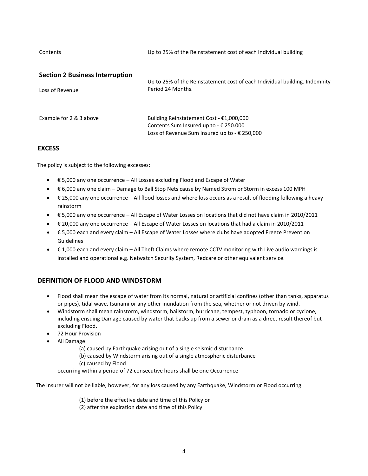Contents Up to 25% of the Reinstatement cost of each Individual building

| <b>Section 2 Business Interruption</b> |  |
|----------------------------------------|--|
|----------------------------------------|--|

| Loss of Revenue         | Up to 25% of the Reinstatement cost of each Individual building. Indemnity<br>Period 24 Months.                                     |
|-------------------------|-------------------------------------------------------------------------------------------------------------------------------------|
| Example for 2 & 3 above | Building Reinstatement Cost - €1,000,000<br>Contents Sum Insured up to - € 250.000<br>Loss of Revenue Sum Insured up to - € 250,000 |

## **EXCESS**

The policy is subject to the following excesses:

- € 5,000 any one occurrence All Losses excluding Flood and Escape of Water
- € 6,000 any one claim Damage to Ball Stop Nets cause by Named Strom or Storm in excess 100 MPH
- € 25,000 any one occurrence All flood losses and where loss occurs as a result of flooding following a heavy rainstorm
- € 5,000 any one occurrence All Escape of Water Losses on locations that did not have claim in 2010/2011
- € 20,000 any one occurrence All Escape of Water Losses on locations that had a claim in 2010/2011
- € 5,000 each and every claim All Escape of Water Losses where clubs have adopted Freeze Prevention Guidelines
- $\bullet$   $\epsilon$  1,000 each and every claim All Theft Claims where remote CCTV monitoring with Live audio warnings is installed and operational e.g. Netwatch Security System, Redcare or other equivalent service.

## **DEFINITION OF FLOOD AND WINDSTORM**

- Flood shall mean the escape of water from its normal, natural or artificial confines (other than tanks, apparatus or pipes), tidal wave, tsunami or any other inundation from the sea, whether or not driven by wind.
- Windstorm shall mean rainstorm, windstorm, hailstorm, hurricane, tempest, typhoon, tornado or cyclone, including ensuing Damage caused by water that backs up from a sewer or drain as a direct result thereof but excluding Flood.
- 72 Hour Provision
- All Damage:
	- (a) caused by Earthquake arising out of a single seismic disturbance
	- (b) caused by Windstorm arising out of a single atmospheric disturbance
	- (c) caused by Flood

occurring within a period of 72 consecutive hours shall be one Occurrence

The Insurer will not be liable, however, for any loss caused by any Earthquake, Windstorm or Flood occurring

- (1) before the effective date and time of this Policy or
- (2) after the expiration date and time of this Policy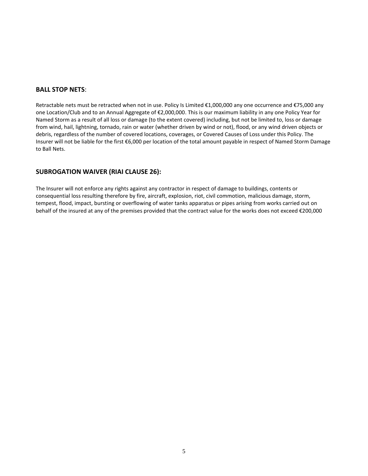#### **BALL STOP NETS**:

Retractable nets must be retracted when not in use. Policy Is Limited €1,000,000 any one occurrence and €75,000 any one Location/Club and to an Annual Aggregate of €2,000,000. This is our maximum liability in any one Policy Year for Named Storm as a result of all loss or damage (to the extent covered) including, but not be limited to, loss or damage from wind, hail, lightning, tornado, rain or water (whether driven by wind or not), flood, or any wind driven objects or debris, regardless of the number of covered locations, coverages, or Covered Causes of Loss under this Policy. The Insurer will not be liable for the first €6,000 per location of the total amount payable in respect of Named Storm Damage to Ball Nets.

### **SUBROGATION WAIVER (RIAI CLAUSE 26):**

The Insurer will not enforce any rights against any contractor in respect of damage to buildings, contents or consequential loss resulting therefore by fire, aircraft, explosion, riot, civil commotion, malicious damage, storm, tempest, flood, impact, bursting or overflowing of water tanks apparatus or pipes arising from works carried out on behalf of the insured at any of the premises provided that the contract value for the works does not exceed €200,000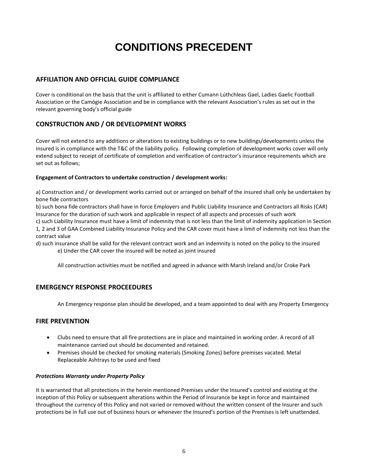## **CONDITIONS PRECEDENT**

## <span id="page-5-0"></span>**AFFILIATION AND OFFICIAL GUIDE COMPLIANCE**

Cover is conditional on the basis that the unit is affiliated to either Cumann Lúthchleas Gael, Ladies Gaelic Football Association or the Camógie Association and be in compliance with the relevant Association's rules as set out in the relevant governing body's official guide

## **CONSTRUCTION AND / OR DEVELOPMENT WORKS**

Cover will not extend to any additions or alterations to existing buildings or to new buildings/developments unless the insured is in compliance with the T&C of the liability policy. Following completion of development works cover will only extend subject to receipt of certificate of completion and verification of contractor's insurance requirements which are set out as follows;

### **Engagement of Contractors to undertake construction / development works:**

a) Construction and / or development works carried out or arranged on behalf of the insured shall only be undertaken by bone fide contractors

b) such bona fide contractors shall have in force Employers and Public Liability Insurance and Contractors all Risks (CAR) Insurance for the duration of such work and applicable in respect of all aspects and processes of such work

c) such Liability Insurance must have a limit of indemnity that is not less than the limit of indemnity application in Section 1, 2 and 3 of GAA Combined Liability Insurance Policy and the CAR cover must have a limit of indemnity not less than the contract value

d) such insurance shall be valid for the relevant contract work and an indemnity is noted on the policy to the insured e) Under the CAR cover the insured will be noted as joint insured

All construction activities must be notified and agreed in advance with Marsh Ireland and/or Croke Park

## **EMERGENCY RESPONSE PROCEEDURES**

An Emergency response plan should be developed, and a team appointed to deal with any Property Emergency

## **FIRE PREVENTION**

- Clubs need to ensure that all fire protections are in place and maintained in working order. A record of all maintenance carried out should be documented and retained.
- Premises should be checked for smoking materials (Smoking Zones) before premises vacated. Metal Replaceable Ashtrays to be used and fixed

#### *Protections Warranty under Property Policy*

It is warranted that all protections in the herein mentioned Premises under the Insured's control and existing at the inception of this Policy or subsequent alterations within the Period of Insurance be kept in force and maintained throughout the currency of this Policy and not varied or removed without the written consent of the Insurer and such protections be in full use out of business hours or whenever the Insured's portion of the Premises is left unattended.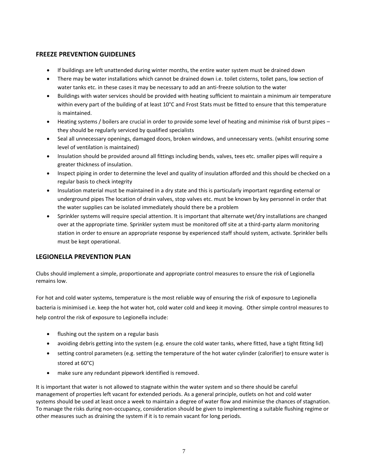### **FREEZE PREVENTION GUIDELINES**

- If buildings are left unattended during winter months, the entire water system must be drained down
- There may be water installations which cannot be drained down i.e. toilet cisterns, toilet pans, low section of water tanks etc. in these cases it may be necessary to add an anti-freeze solution to the water
- Buildings with water services should be provided with heating sufficient to maintain a minimum air temperature within every part of the building of at least 10°C and Frost Stats must be fitted to ensure that this temperature is maintained.
- Heating systems / boilers are crucial in order to provide some level of heating and minimise risk of burst pipes they should be regularly serviced by qualified specialists
- Seal all unnecessary openings, damaged doors, broken windows, and unnecessary vents. (whilst ensuring some level of ventilation is maintained)
- Insulation should be provided around all fittings including bends, valves, tees etc. smaller pipes will require a greater thickness of insulation.
- Inspect piping in order to determine the level and quality of insulation afforded and this should be checked on a regular basis to check integrity
- Insulation material must be maintained in a dry state and this is particularly important regarding external or underground pipes The location of drain valves, stop valves etc. must be known by key personnel in order that the water supplies can be isolated immediately should there be a problem
- Sprinkler systems will require special attention. It is important that alternate wet/dry installations are changed over at the appropriate time. Sprinkler system must be monitored off site at a third-party alarm monitoring station in order to ensure an appropriate response by experienced staff should system, activate. Sprinkler bells must be kept operational.

## **LEGIONELLA PREVENTION PLAN**

Clubs should implement a simple, proportionate and appropriate control measures to ensure the risk of Legionella remains low.

For hot and cold water systems, temperature is the most reliable way of ensuring the risk of exposure to Legionella bacteria is minimised i.e. keep the hot water hot, cold water cold and keep it moving. Other simple control measures to help control the risk of exposure to Legionella include:

- flushing out the system on a regular basis
- avoiding debris getting into the system (e.g. ensure the cold water tanks, where fitted, have a tight fitting lid)
- setting control parameters (e.g. setting the temperature of the hot water cylinder (calorifier) to ensure water is stored at 60°C)
- make sure any redundant pipework identified is removed.

It is important that water is not allowed to stagnate within the water system and so there should be careful management of properties left vacant for extended periods. As a general principle, outlets on hot and cold water systems should be used at least once a week to maintain a degree of water flow and minimise the chances of stagnation. To manage the risks during non-occupancy, consideration should be given to implementing a suitable flushing regime or other measures such as draining the system if it is to remain vacant for long periods.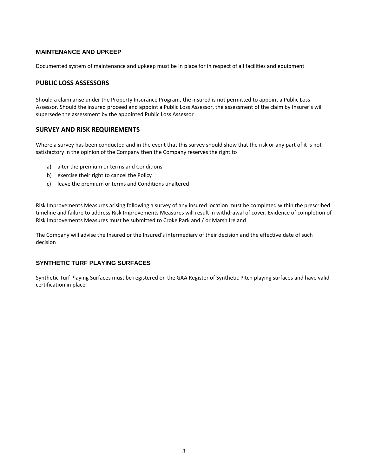#### **MAINTENANCE AND UPKEEP**

Documented system of maintenance and upkeep must be in place for in respect of all facilities and equipment

## **PUBLIC LOSS ASSESSORS**

Should a claim arise under the Property Insurance Program, the insured is not permitted to appoint a Public Loss Assessor. Should the insured proceed and appoint a Public Loss Assessor, the assessment of the claim by Insurer's will supersede the assessment by the appointed Public Loss Assessor

#### **SURVEY AND RISK REQUIREMENTS**

Where a survey has been conducted and in the event that this survey should show that the risk or any part of it is not satisfactory in the opinion of the Company then the Company reserves the right to

- a) alter the premium or terms and Conditions
- b) exercise their right to cancel the Policy
- c) leave the premium or terms and Conditions unaltered

Risk Improvements Measures arising following a survey of any insured location must be completed within the prescribed timeline and failure to address Risk Improvements Measures will result in withdrawal of cover. Evidence of completion of Risk Improvements Measures must be submitted to Croke Park and / or Marsh Ireland

The Company will advise the Insured or the Insured's intermediary of their decision and the effective date of such decision

#### **SYNTHETIC TURF PLAYING SURFACES**

Synthetic Turf Playing Surfaces must be registered on the GAA Register of Synthetic Pitch playing surfaces and have valid certification in place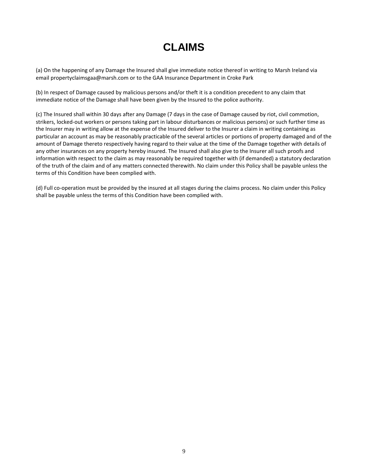## **CLAIMS**

<span id="page-8-0"></span>(a) On the happening of any Damage the Insured shall give immediate notice thereof in writing to Marsh Ireland via email propertyclaimsgaa@marsh.com or to the GAA Insurance Department in Croke Park

(b) In respect of Damage caused by malicious persons and/or theft it is a condition precedent to any claim that immediate notice of the Damage shall have been given by the Insured to the police authority.

(c) The Insured shall within 30 days after any Damage (7 days in the case of Damage caused by riot, civil commotion, strikers, locked-out workers or persons taking part in labour disturbances or malicious persons) or such further time as the Insurer may in writing allow at the expense of the Insured deliver to the Insurer a claim in writing containing as particular an account as may be reasonably practicable of the several articles or portions of property damaged and of the amount of Damage thereto respectively having regard to their value at the time of the Damage together with details of any other insurances on any property hereby insured. The Insured shall also give to the Insurer all such proofs and information with respect to the claim as may reasonably be required together with (if demanded) a statutory declaration of the truth of the claim and of any matters connected therewith. No claim under this Policy shall be payable unless the terms of this Condition have been complied with.

(d) Full co-operation must be provided by the insured at all stages during the claims process. No claim under this Policy shall be payable unless the terms of this Condition have been complied with.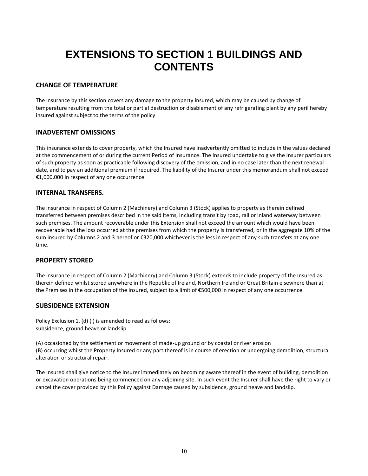## <span id="page-9-0"></span>**EXTENSIONS TO SECTION 1 BUILDINGS AND CONTENTS**

### **CHANGE OF TEMPERATURE**

The insurance by this section covers any damage to the property insured, which may be caused by change of temperature resulting from the total or partial destruction or disablement of any refrigerating plant by any peril hereby insured against subject to the terms of the policy

### **INADVERTENT OMISSIONS**

This insurance extends to cover property, which the Insured have inadvertently omitted to include in the values declared at the commencement of or during the current Period of Insurance. The Insured undertake to give the Insurer particulars of such property as soon as practicable following discovery of the omission, and in no case later than the next renewal date, and to pay an additional premium if required. The liability of the Insurer under this memorandum shall not exceed €1,000,000 in respect of any one occurrence.

## **INTERNAL TRANSFERS.**

The insurance in respect of Column 2 (Machinery) and Column 3 (Stock) applies to property as therein defined transferred between premises described in the said items, including transit by road, rail or inland waterway between such premises. The amount recoverable under this Extension shall not exceed the amount which would have been recoverable had the loss occurred at the premises from which the property is transferred, or in the aggregate 10% of the sum insured by Columns 2 and 3 hereof or €320,000 whichever is the less in respect of any such transfers at any one time.

### **PROPERTY STORED**

The insurance in respect of Column 2 (Machinery) and Column 3 (Stock) extends to include property of the Insured as therein defined whilst stored anywhere in the Republic of Ireland, Northern Ireland or Great Britain elsewhere than at the Premises in the occupation of the Insured, subject to a limit of €500,000 in respect of any one occurrence.

## **SUBSIDENCE EXTENSION**

Policy Exclusion 1. (d) (i) is amended to read as follows: subsidence, ground heave or landslip

(A) occasioned by the settlement or movement of made-up ground or by coastal or river erosion (B) occurring whilst the Property Insured or any part thereof is in course of erection or undergoing demolition, structural alteration or structural repair.

The Insured shall give notice to the Insurer immediately on becoming aware thereof in the event of building, demolition or excavation operations being commenced on any adjoining site. In such event the Insurer shall have the right to vary or cancel the cover provided by this Policy against Damage caused by subsidence, ground heave and landslip.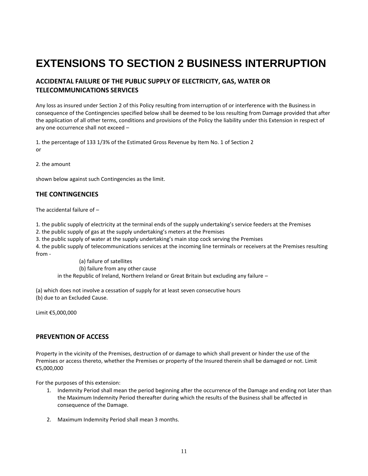## <span id="page-10-0"></span>**EXTENSIONS TO SECTION 2 BUSINESS INTERRUPTION**

## **ACCIDENTAL FAILURE OF THE PUBLIC SUPPLY OF ELECTRICITY, GAS, WATER OR TELECOMMUNICATIONS SERVICES**

Any loss as insured under Section 2 of this Policy resulting from interruption of or interference with the Business in consequence of the Contingencies specified below shall be deemed to be loss resulting from Damage provided that after the application of all other terms, conditions and provisions of the Policy the liability under this Extension in respect of any one occurrence shall not exceed –

1. the percentage of 133 1/3% of the Estimated Gross Revenue by Item No. 1 of Section 2 or

2. the amount

shown below against such Contingencies as the limit.

## **THE CONTINGENCIES**

The accidental failure of –

1. the public supply of electricity at the terminal ends of the supply undertaking's service feeders at the Premises

2. the public supply of gas at the supply undertaking's meters at the Premises

3. the public supply of water at the supply undertaking's main stop cock serving the Premises

4. the public supply of telecommunications services at the incoming line terminals or receivers at the Premises resulting from -

(a) failure of satellites (b) failure from any other cause in the Republic of Ireland, Northern Ireland or Great Britain but excluding any failure –

(a) which does not involve a cessation of supply for at least seven consecutive hours (b) due to an Excluded Cause.

Limit €5,000,000

### **PREVENTION OF ACCESS**

Property in the vicinity of the Premises, destruction of or damage to which shall prevent or hinder the use of the Premises or access thereto, whether the Premises or property of the Insured therein shall be damaged or not. Limit €5,000,000

For the purposes of this extension:

- 1. Indemnity Period shall mean the period beginning after the occurrence of the Damage and ending not later than the Maximum Indemnity Period thereafter during which the results of the Business shall be affected in consequence of the Damage.
- 2. Maximum Indemnity Period shall mean 3 months.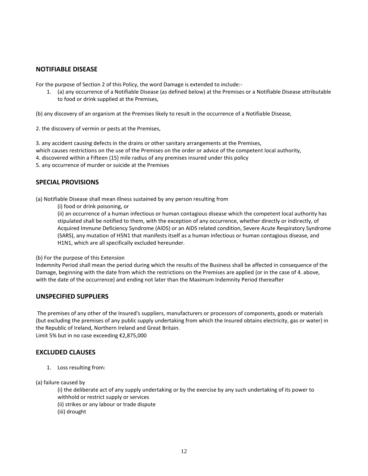### **NOTIFIABLE DISEASE**

For the purpose of Section 2 of this Policy, the word Damage is extended to include:-

1. (a) any occurrence of a Notifiable Disease (as defined below) at the Premises or a Notifiable Disease attributable to food or drink supplied at the Premises,

(b) any discovery of an organism at the Premises likely to result in the occurrence of a Notifiable Disease,

2. the discovery of vermin or pests at the Premises,

3. any accident causing defects in the drains or other sanitary arrangements at the Premises, which causes restrictions on the use of the Premises on the order or advice of the competent local authority, 4. discovered within a Fifteen (15) mile radius of any premises insured under this policy 5. any occurrence of murder or suicide at the Premises

### **SPECIAL PROVISIONS**

(a) Notifiable Disease shall mean illness sustained by any person resulting from

(i) food or drink poisoning, or

(ii) an occurrence of a human infectious or human contagious disease which the competent local authority has stipulated shall be notified to them, with the exception of any occurrence, whether directly or indirectly, of Acquired Immune Deficiency Syndrome (AIDS) or an AIDS related condition, Severe Acute Respiratory Syndrome (SARS), any mutation of H5N1 that manifests itself as a human infectious or human contagious disease, and H1N1, which are all specifically excluded hereunder.

#### (b) For the purpose of this Extension

Indemnity Period shall mean the period during which the results of the Business shall be affected in consequence of the Damage, beginning with the date from which the restrictions on the Premises are applied (or in the case of 4. above, with the date of the occurrence) and ending not later than the Maximum Indemnity Period thereafter

#### **UNSPECIFIED SUPPLIERS**

The premises of any other of the Insured's suppliers, manufacturers or processors of components, goods or materials (but excluding the premises of any public supply undertaking from which the Insured obtains electricity, gas or water) in the Republic of Ireland, Northern Ireland and Great Britain. Limit 5% but in no case exceeding €2,875,000

### **EXCLUDED CLAUSES**

1. Loss resulting from:

(a) failure caused by

(i) the deliberate act of any supply undertaking or by the exercise by any such undertaking of its power to withhold or restrict supply or services (ii) strikes or any labour or trade dispute (iii) drought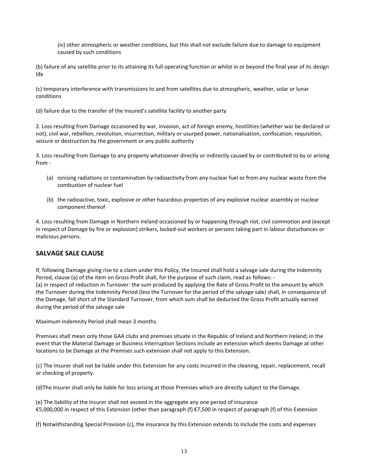(iv) other atmospheric or weather conditions, but this shall not exclude failure due to damage to equipment caused by such conditions

(b) failure of any satellite prior to its attaining its full operating function or whilst in or beyond the final year of its design life

(c) temporary interference with transmissions to and from satellites due to atmospheric, weather, solar or lunar conditions

(d) failure due to the transfer of the Insured's satellite facility to another party

2. Loss resulting from Damage occasioned by war, invasion, act of foreign enemy, hostilities (whether war be declared or not), civil war, rebellion, revolution, insurrection, military or usurped power, nationalisation, confiscation, requisition, seizure or destruction by the government or any public authority

3. Loss resulting from Damage to any property whatsoever directly or indirectly caused by or contributed to by or arising from -

- (a) ionising radiations or contamination by radioactivity from any nuclear fuel or from any nuclear waste from the combustion of nuclear fuel
- (b) the radioactive, toxic, explosive or other hazardous properties of any explosive nuclear assembly or nuclear component thereof

4. Loss resulting from Damage in Northern Ireland occasioned by or happening through riot, civil commotion and (except in respect of Damage by fire or explosion) strikers, locked-out workers or persons taking part in labour disturbances or malicious persons.

### **SALVAGE SALE CLAUSE**

If, following Damage giving rise to a claim under this Policy, the Insured shall hold a salvage sale during the Indemnity Period, clause (a) of the item on Gross Profit shall, for the purpose of such claim, read as follows: - (a) in respect of reduction in Turnover: the sum produced by applying the Rate of Gross Profit to the amount by which the Turnover during the Indemnity Period (less the Turnover for the period of the salvage sale) shall, in consequence of the Damage, fall short of the Standard Turnover, from which sum shall be deducted the Gross Profit actually earned during the period of the salvage sale

Maximum Indemnity Period shall mean 3 months.

Premises shall mean only those GAA clubs and premises situate in the Republic of Ireland and Northern Ireland; in the event that the Material Damage or Business Interruption Sections include an extension which deems Damage at other locations to be Damage at the Premises such extension shall not apply to this Extension.

(c) The Insurer shall not be liable under this Extension for any costs incurred in the cleaning, repair, replacement, recall or checking of property.

(d)The Insurer shall only be liable for loss arising at those Premises which are directly subject to the Damage.

(e) The liability of the Insurer shall not exceed in the aggregate any one period of insurance €5,000,000 in respect of this Extension (other than paragraph (f) €7,500 in respect of paragraph (f) of this Extension

(f) Notwithstanding Special Provision (c), the insurance by this Extension extends to include the costs and expenses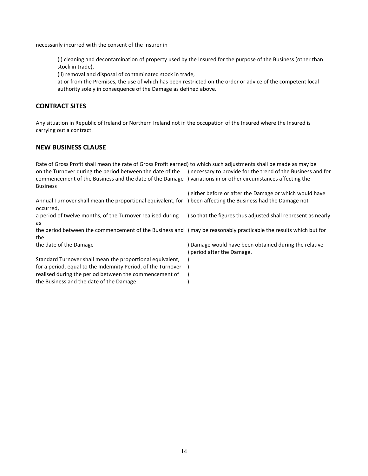necessarily incurred with the consent of the Insurer in

(i) cleaning and decontamination of property used by the Insured for the purpose of the Business (other than stock in trade),

(ii) removal and disposal of contaminated stock in trade,

at or from the Premises, the use of which has been restricted on the order or advice of the competent local authority solely in consequence of the Damage as defined above.

## **CONTRACT SITES**

Any situation in Republic of Ireland or Northern Ireland not in the occupation of the Insured where the Insured is carrying out a contract.

## **NEW BUSINESS CLAUSE**

| Rate of Gross Profit shall mean the rate of Gross Profit earned) to which such adjustments shall be made as may be<br>on the Turnover during the period between the date of the | ) necessary to provide for the trend of the Business and for |
|---------------------------------------------------------------------------------------------------------------------------------------------------------------------------------|--------------------------------------------------------------|
| commencement of the Business and the date of the Damage                                                                                                                         | ) variations in or other circumstances affecting the         |
| <b>Business</b>                                                                                                                                                                 |                                                              |
|                                                                                                                                                                                 | either before or after the Damage or which would have        |
| Annual Turnover shall mean the proportional equivalent, for<br>occurred,                                                                                                        | ) been affecting the Business had the Damage not             |
| a period of twelve months, of the Turnover realised during                                                                                                                      | so that the figures thus adjusted shall represent as nearly  |
| as                                                                                                                                                                              |                                                              |
| the period between the commencement of the Business and ) may be reasonably practicable the results which but for                                                               |                                                              |
| the                                                                                                                                                                             |                                                              |
| the date of the Damage                                                                                                                                                          | Damage would have been obtained during the relative          |
|                                                                                                                                                                                 | period after the Damage.                                     |
| Standard Turnover shall mean the proportional equivalent,                                                                                                                       |                                                              |
| for a period, equal to the Indemnity Period, of the Turnover                                                                                                                    |                                                              |
| realised during the period between the commencement of                                                                                                                          |                                                              |
| the Business and the date of the Damage                                                                                                                                         |                                                              |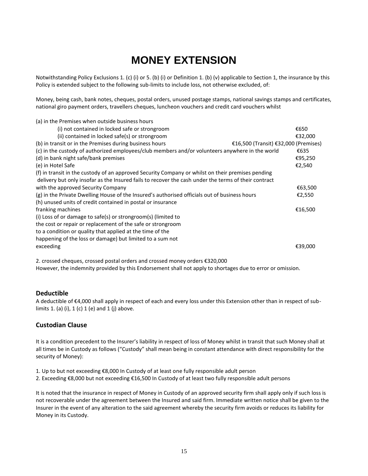## **MONEY EXTENSION**

<span id="page-14-0"></span>Notwithstanding Policy Exclusions 1. (c) (i) or 5. (b) (i) or Definition 1. (b) (v) applicable to Section 1, the insurance by this Policy is extended subject to the following sub-limits to include loss, not otherwise excluded, of:

Money, being cash, bank notes, cheques, postal orders, unused postage stamps, national savings stamps and certificates, national giro payment orders, travellers cheques, luncheon vouchers and credit card vouchers whilst

| (a) in the Premises when outside business hours                                                      |                                      |         |
|------------------------------------------------------------------------------------------------------|--------------------------------------|---------|
| (i) not contained in locked safe or strongroom                                                       |                                      | €650    |
| (ii) contained in locked safe(s) or strongroom                                                       |                                      | €32,000 |
| (b) in transit or in the Premises during business hours                                              | €16,500 (Transit) €32,000 (Premises) |         |
| (c) in the custody of authorized employees/club members and/or volunteers anywhere in the world      |                                      | €635    |
| (d) in bank night safe/bank premises                                                                 |                                      | €95,250 |
| (e) in Hotel Safe                                                                                    |                                      | €2,540  |
| (f) in transit in the custody of an approved Security Company or whilst on their premises pending    |                                      |         |
| delivery but only insofar as the Insured fails to recover the cash under the terms of their contract |                                      |         |
| with the approved Security Company                                                                   |                                      | €63,500 |
| (g) in the Private Dwelling House of the Insured's authorised officials out of business hours        |                                      | €2,550  |
| (h) unused units of credit contained in postal or insurance                                          |                                      |         |
| franking machines                                                                                    |                                      | €16,500 |
| (i) Loss of or damage to safe(s) or strongroom(s) (limited to                                        |                                      |         |
| the cost or repair or replacement of the safe or strongroom                                          |                                      |         |
| to a condition or quality that applied at the time of the                                            |                                      |         |
| happening of the loss or damage) but limited to a sum not                                            |                                      |         |
| exceeding                                                                                            |                                      | €39,000 |
|                                                                                                      |                                      |         |

2. crossed cheques, crossed postal orders and crossed money orders €320,000 However, the indemnity provided by this Endorsement shall not apply to shortages due to error or omission.

### **Deductible**

A deductible of €4,000 shall apply in respect of each and every loss under this Extension other than in respect of sublimits 1. (a) (i), 1 (c) 1 (e) and 1 (j) above.

### **Custodian Clause**

It is a condition precedent to the Insurer's liability in respect of loss of Money whilst in transit that such Money shall at all times be in Custody as follows ("Custody" shall mean being in constant attendance with direct responsibility for the security of Money):

- 1. Up to but not exceeding €8,000 In Custody of at least one fully responsible adult person
- 2. Exceeding €8,000 but not exceeding €16,500 In Custody of at least two fully responsible adult persons

It is noted that the insurance in respect of Money in Custody of an approved security firm shall apply only if such loss is not recoverable under the agreement between the Insured and said firm. Immediate written notice shall be given to the Insurer in the event of any alteration to the said agreement whereby the security firm avoids or reduces its liability for Money in its Custody.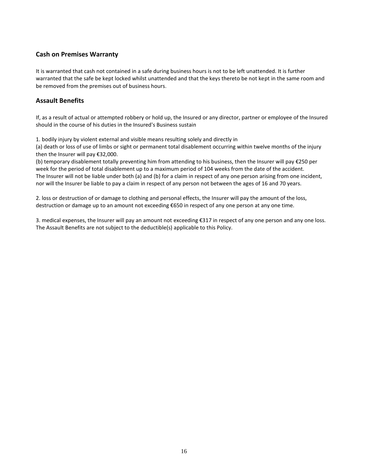## **Cash on Premises Warranty**

It is warranted that cash not contained in a safe during business hours is not to be left unattended. It is further warranted that the safe be kept locked whilst unattended and that the keys thereto be not kept in the same room and be removed from the premises out of business hours.

## **Assault Benefits**

If, as a result of actual or attempted robbery or hold up, the Insured or any director, partner or employee of the Insured should in the course of his duties in the Insured's Business sustain

1. bodily injury by violent external and visible means resulting solely and directly in

(a) death or loss of use of limbs or sight or permanent total disablement occurring within twelve months of the injury then the Insurer will pay €32,000.

(b) temporary disablement totally preventing him from attending to his business, then the Insurer will pay €250 per week for the period of total disablement up to a maximum period of 104 weeks from the date of the accident. The Insurer will not be liable under both (a) and (b) for a claim in respect of any one person arising from one incident, nor will the Insurer be liable to pay a claim in respect of any person not between the ages of 16 and 70 years.

2. loss or destruction of or damage to clothing and personal effects, the Insurer will pay the amount of the loss, destruction or damage up to an amount not exceeding €650 in respect of any one person at any one time.

3. medical expenses, the Insurer will pay an amount not exceeding  $\epsilon$ 317 in respect of any one person and any one loss. The Assault Benefits are not subject to the deductible(s) applicable to this Policy.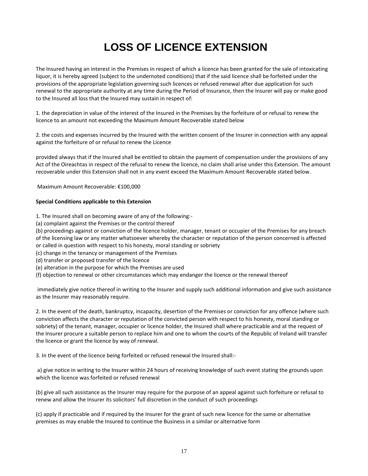## <span id="page-16-0"></span>**LOSS OF LICENCE EXTENSION**

The Insured having an interest in the Premises in respect of which a licence has been granted for the sale of intoxicating liquor, it is hereby agreed (subject to the undernoted conditions) that if the said licence shall be forfeited under the provisions of the appropriate legislation governing such licences or refused renewal after due application for such renewal to the appropriate authority at any time during the Period of Insurance, then the Insurer will pay or make good to the Insured all loss that the Insured may sustain in respect of:

1. the depreciation in value of the interest of the Insured in the Premises by the forfeiture of or refusal to renew the licence to an amount not exceeding the Maximum Amount Recoverable stated below

2. the costs and expenses incurred by the Insured with the written consent of the Insurer in connection with any appeal against the forfeiture of or refusal to renew the Licence

provided always that if the Insured shall be entitled to obtain the payment of compensation under the provisions of any Act of the Oireachtas in respect of the refusal to renew the licence, no claim shall arise under this Extension. The amount recoverable under this Extension shall not in any event exceed the Maximum Amount Recoverable stated below.

Maximum Amount Recoverable: €100,000

#### **Special Conditions applicable to this Extension**

1. The Insured shall on becoming aware of any of the following:-

(a) complaint against the Premises or the control thereof

(b) proceedings against or conviction of the licence holder, manager, tenant or occupier of the Premises for any breach of the licensing law or any matter whatsoever whereby the character or reputation of the person concerned is affected or called in question with respect to his honesty, moral standing or sobriety

- (c) change in the tenancy or management of the Premises
- (d) transfer or proposed transfer of the licence
- (e) alteration in the purpose for which the Premises are used
- (f) objection to renewal or other circumstances which may endanger the licence or the renewal thereof

immediately give notice thereof in writing to the Insurer and supply such additional information and give such assistance as the Insurer may reasonably require.

2. In the event of the death, bankruptcy, incapacity, desertion of the Premises or conviction for any offence (where such conviction affects the character or reputation of the convicted person with respect to his honesty, moral standing or sobriety) of the tenant, manager, occupier or licence holder, the Insured shall where practicable and at the request of the Insurer procure a suitable person to replace him and one to whom the courts of the Republic of Ireland will transfer the licence or grant the licence by way of renewal.

3. In the event of the licence being forfeited or refused renewal the Insured shall:-

a) give notice in writing to the Insurer within 24 hours of receiving knowledge of such event stating the grounds upon which the licence was forfeited or refused renewal

(b) give all such assistance as the Insurer may require for the purpose of an appeal against such forfeiture or refusal to renew and allow the Insurer its solicitors' full discretion in the conduct of such proceedings

(c) apply if practicable and if required by the Insurer for the grant of such new licence for the same or alternative premises as may enable the Insured to continue the Business in a similar or alternative form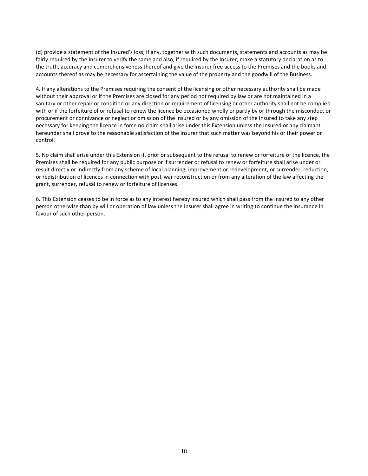(d) provide a statement of the Insured's loss, if any, together with such documents, statements and accounts as may be fairly required by the Insurer to verify the same and also, if required by the Insurer, make a statutory declaration as to the truth, accuracy and comprehensiveness thereof and give the Insurer free access to the Premises and the books and accounts thereof as may be necessary for ascertaining the value of the property and the goodwill of the Business.

4. If any alterations to the Premises requiring the consent of the licensing or other necessary authority shall be made without their approval or if the Premises are closed for any period not required by law or are not maintained in a sanitary or other repair or condition or any direction or requirement of licensing or other authority shall not be complied with or if the forfeiture of or refusal to renew the licence be occasioned wholly or partly by or through the misconduct or procurement or connivance or neglect or omission of the Insured or by any omission of the Insured to take any step necessary for keeping the licence in force no claim shall arise under this Extension unless the Insured or any claimant hereunder shall prove to the reasonable satisfaction of the Insurer that such matter was beyond his or their power or control.

5. No claim shall arise under this Extension if, prior or subsequent to the refusal to renew or forfeiture of the licence, the Premises shall be required for any public purpose or if surrender or refusal to renew or forfeiture shall arise under or result directly or indirectly from any scheme of local planning, improvement or redevelopment, or surrender, reduction, or redistribution of licences in connection with post-war reconstruction or from any alteration of the law affecting the grant, surrender, refusal to renew or forfeiture of licenses.

6. This Extension ceases to be in force as to any interest hereby insured which shall pass from the Insured to any other person otherwise than by will or operation of law unless the Insurer shall agree in writing to continue the insurance in favour of such other person.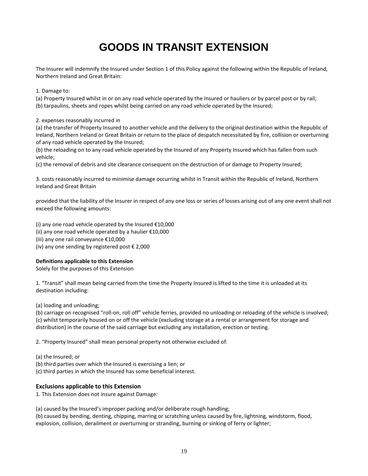## **GOODS IN TRANSIT EXTENSION**

<span id="page-18-0"></span>The Insurer will indemnify the Insured under Section 1 of this Policy against the following within the Republic of Ireland, Northern Ireland and Great Britain:

1. Damage to:

(a) Property Insured whilst in or on any road vehicle operated by the Insured or hauliers or by parcel post or by rail; (b) tarpaulins, sheets and ropes whilst being carried on any road vehicle operated by the Insured;

2. expenses reasonably incurred in

(a) the transfer of Property Insured to another vehicle and the delivery to the original destination within the Republic of Ireland, Northern Ireland or Great Britain or return to the place of despatch necessitated by fire, collision or overturning of any road vehicle operated by the Insured;

(b) the reloading on to any road vehicle operated by the Insured of any Property Insured which has fallen from such vehicle;

(c) the removal of debris and site clearance consequent on the destruction of or damage to Property Insured;

3. costs reasonably incurred to minimise damage occurring whilst in Transit within the Republic of Ireland, Northern Ireland and Great Britain

provided that the liability of the Insurer in respect of any one loss or series of losses arising out of any one event shall not exceed the following amounts:

(i) any one road vehicle operated by the Insured €10,000 (ii) any one road vehicle operated by a haulier  $£10,000$ (iii) any one rail conveyance €10,000 (iv) any one sending by registered post  $\epsilon$  2,000

#### **Definitions applicable to this Extension**

Solely for the purposes of this Extension

1. "Transit" shall mean being carried from the time the Property Insured is lifted to the time it is unloaded at its destination including:

(a) loading and unloading;

(b) carriage on recognised "roll-on, roll off" vehicle ferries, provided no unloading or reloading of the vehicle is involved; (c) whilst temporarily housed on or off the vehicle (excluding storage at a rental or arrangement for storage and distribution) in the course of the said carriage but excluding any installation, erection or testing.

2. "Property Insured" shall mean personal property not otherwise excluded of:

(a) the Insured; or

(b) third parties over which the Insured is exercising a lien; or

(c) third parties in which the Insured has some beneficial interest.

#### **Exclusions applicable to this Extension**

1. This Extension does not insure against Damage:

(a) caused by the Insured's improper packing and/or deliberate rough handling;

(b) caused by bending, denting, chipping, marring or scratching unless caused by fire, lightning, windstorm, flood, explosion, collision, derailment or overturning or stranding, burning or sinking of ferry or lighter;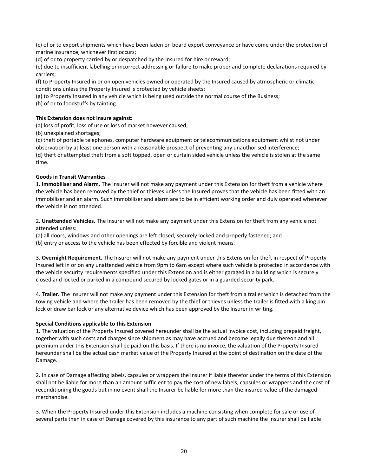(c) of or to export shipments which have been laden on board export conveyance or have come under the protection of marine insurance, whichever first occurs;

(d) of or to property carried by or despatched by the Insured for hire or reward;

(e) due to insufficient labelling or incorrect addressing or failure to make proper and complete declarations required by carriers;

(f) to Property Insured in or on open vehicles owned or operated by the Insured caused by atmospheric or climatic conditions unless the Property Insured is protected by vehicle sheets;

(g) to Property Insured in any vehicle which is being used outside the normal course of the Business;

(h) of or to foodstuffs by tainting.

#### **This Extension does not insure against:**

(a) loss of profit, loss of use or loss of market however caused;

(b) unexplained shortages;

(c) theft of portable telephones, computer hardware equipment or telecommunications equipment whilst not under observation by at least one person with a reasonable prospect of preventing any unauthorised interference; (d) theft or attempted theft from a soft topped, open or curtain sided vehicle unless the vehicle is stolen at the same time.

#### **Goods in Transit Warranties**

1. **Immobiliser and Alarm.** The Insurer will not make any payment under this Extension for theft from a vehicle where the vehicle has been removed by the thief or thieves unless the Insured proves that the vehicle has been fitted with an immobiliser and an alarm. Such immobiliser and alarm are to be in efficient working order and duly operated whenever the vehicle is not attended.

2. **Unattended Vehicles.** The Insurer will not make any payment under this Extension for theft from any vehicle not attended unless:

(a) all doors, windows and other openings are left closed, securely locked and properly fastened; and (b) entry or access to the vehicle has been effected by forcible and violent means.

3. **Overnight Requirement.** The Insurer will not make any payment under this Extension for theft in respect of Property Insured left in or on any unattended vehicle from 9pm to 6am except where such vehicle is protected in accordance with the vehicle security requirements specified under this Extension and is either garaged in a building which is securely closed and locked or parked in a compound secured by locked gates or in a guarded security park.

4. **Trailer.** The Insurer will not make any payment under this Extension for theft from a trailer which is detached from the towing vehicle and where the trailer has been removed by the thief or thieves unless the trailer is fitted with a king pin lock or draw bar lock or any alternative device which has been approved by the Insurer in writing.

#### **Special Conditions applicable to this Extension**

1. The valuation of the Property Insured covered hereunder shall be the actual invoice cost, including prepaid freight, together with such costs and charges since shipment as may have accrued and become legally due thereon and all premium under this Extension shall be paid on this basis. If there is no invoice, the valuation of the Property Insured hereunder shall be the actual cash market value of the Property Insured at the point of destination on the date of the Damage.

2. In case of Damage affecting labels, capsules or wrappers the Insurer if liable therefor under the terms of this Extension shall not be liable for more than an amount sufficient to pay the cost of new labels, capsules or wrappers and the cost of reconditioning the goods but in no event shall the Insurer be liable for more than the insured value of the damaged merchandise.

3. When the Property Insured under this Extension includes a machine consisting when complete for sale or use of several parts then in case of Damage covered by this insurance to any part of such machine the Insurer shall be liable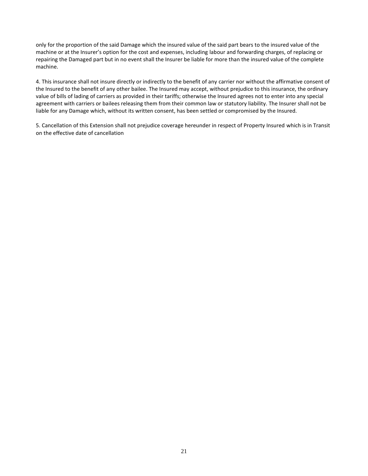only for the proportion of the said Damage which the insured value of the said part bears to the insured value of the machine or at the Insurer's option for the cost and expenses, including labour and forwarding charges, of replacing or repairing the Damaged part but in no event shall the Insurer be liable for more than the insured value of the complete machine.

4. This insurance shall not insure directly or indirectly to the benefit of any carrier nor without the affirmative consent of the Insured to the benefit of any other bailee. The Insured may accept, without prejudice to this insurance, the ordinary value of bills of lading of carriers as provided in their tariffs; otherwise the Insured agrees not to enter into any special agreement with carriers or bailees releasing them from their common law or statutory liability. The Insurer shall not be liable for any Damage which, without its written consent, has been settled or compromised by the Insured.

5. Cancellation of this Extension shall not prejudice coverage hereunder in respect of Property Insured which is in Transit on the effective date of cancellation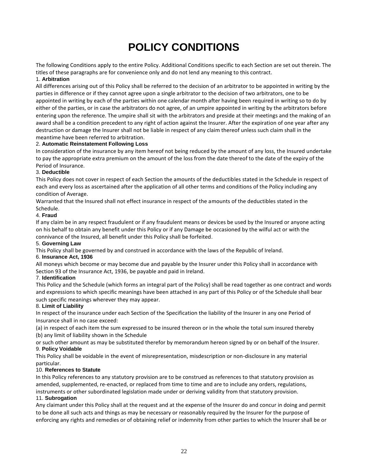## **POLICY CONDITIONS**

<span id="page-21-0"></span>The following Conditions apply to the entire Policy. Additional Conditions specific to each Section are set out therein. The titles of these paragraphs are for convenience only and do not lend any meaning to this contract.

#### 1. **Arbitration**

All differences arising out of this Policy shall be referred to the decision of an arbitrator to be appointed in writing by the parties in difference or if they cannot agree upon a single arbitrator to the decision of two arbitrators, one to be appointed in writing by each of the parties within one calendar month after having been required in writing so to do by either of the parties, or in case the arbitrators do not agree, of an umpire appointed in writing by the arbitrators before entering upon the reference. The umpire shall sit with the arbitrators and preside at their meetings and the making of an award shall be a condition precedent to any right of action against the Insurer. After the expiration of one year after any destruction or damage the Insurer shall not be liable in respect of any claim thereof unless such claim shall in the meantime have been referred to arbitration.

#### 2. **Automatic Reinstatement Following Loss**

In consideration of the insurance by any item hereof not being reduced by the amount of any loss, the Insured undertake to pay the appropriate extra premium on the amount of the loss from the date thereof to the date of the expiry of the Period of Insurance.

#### 3. **Deductible**

This Policy does not cover in respect of each Section the amounts of the deductibles stated in the Schedule in respect of each and every loss as ascertained after the application of all other terms and conditions of the Policy including any condition of Average.

Warranted that the Insured shall not effect insurance in respect of the amounts of the deductibles stated in the Schedule.

#### 4. **Fraud**

If any claim be in any respect fraudulent or if any fraudulent means or devices be used by the Insured or anyone acting on his behalf to obtain any benefit under this Policy or if any Damage be occasioned by the wilful act or with the connivance of the Insured, all benefit under this Policy shall be forfeited.

#### 5. **Governing Law**

This Policy shall be governed by and construed in accordance with the laws of the Republic of Ireland.

#### 6. **Insurance Act, 1936**

All moneys which become or may become due and payable by the Insurer under this Policy shall in accordance with Section 93 of the Insurance Act, 1936, be payable and paid in Ireland.

#### 7. **Identification**

This Policy and the Schedule (which forms an integral part of the Policy) shall be read together as one contract and words and expressions to which specific meanings have been attached in any part of this Policy or of the Schedule shall bear such specific meanings wherever they may appear.

#### 8. **Limit of Liability**

In respect of the insurance under each Section of the Specification the liability of the Insurer in any one Period of Insurance shall in no case exceed:

(a) in respect of each item the sum expressed to be insured thereon or in the whole the total sum insured thereby (b) any limit of liability shown in the Schedule

or such other amount as may be substituted therefor by memorandum hereon signed by or on behalf of the Insurer. 9. **Policy Voidable** 

This Policy shall be voidable in the event of misrepresentation, misdescription or non-disclosure in any material particular.

#### 10. **References to Statute**

In this Policy references to any statutory provision are to be construed as references to that statutory provision as amended, supplemented, re-enacted, or replaced from time to time and are to include any orders, regulations, instruments or other subordinated legislation made under or deriving validity from that statutory provision. 11. **Subrogation** 

Any claimant under this Policy shall at the request and at the expense of the Insurer do and concur in doing and permit to be done all such acts and things as may be necessary or reasonably required by the Insurer for the purpose of enforcing any rights and remedies or of obtaining relief or indemnity from other parties to which the Insurer shall be or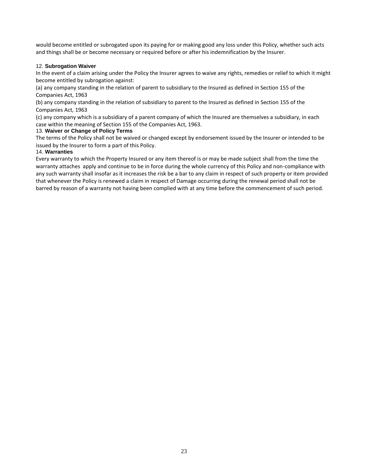would become entitled or subrogated upon its paying for or making good any loss under this Policy, whether such acts and things shall be or become necessary or required before or after his indemnification by the Insurer.

#### 12. **Subrogation Waiver**

In the event of a claim arising under the Policy the Insurer agrees to waive any rights, remedies or relief to which it might become entitled by subrogation against:

(a) any company standing in the relation of parent to subsidiary to the Insured as defined in Section 155 of the Companies Act, 1963

(b) any company standing in the relation of subsidiary to parent to the Insured as defined in Section 155 of the Companies Act, 1963

(c) any company which is a subsidiary of a parent company of which the Insured are themselves a subsidiary, in each case within the meaning of Section 155 of the Companies Act, 1963.

#### 13. **Waiver or Change of Policy Terms**

The terms of the Policy shall not be waived or changed except by endorsement issued by the Insurer or intended to be issued by the Insurer to form a part of this Policy.

#### 14. **Warranties**

Every warranty to which the Property Insured or any item thereof is or may be made subject shall from the time the warranty attaches apply and continue to be in force during the whole currency of this Policy and non-compliance with any such warranty shall insofar as it increases the risk be a bar to any claim in respect of such property or item provided that whenever the Policy is renewed a claim in respect of Damage occurring during the renewal period shall not be barred by reason of a warranty not having been complied with at any time before the commencement of such period.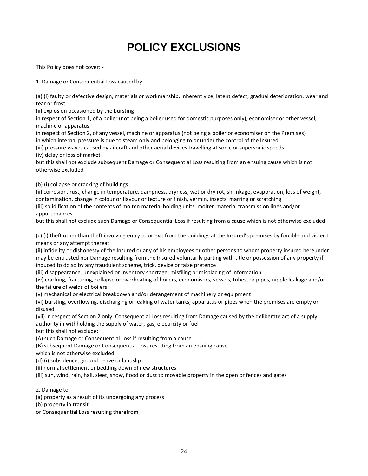## **POLICY EXCLUSIONS**

<span id="page-23-0"></span>This Policy does not cover: -

1. Damage or Consequential Loss caused by:

(a) (i) faulty or defective design, materials or workmanship, inherent vice, latent defect, gradual deterioration, wear and tear or frost

(ii) explosion occasioned by the bursting -

in respect of Section 1, of a boiler (not being a boiler used for domestic purposes only), economiser or other vessel, machine or apparatus

in respect of Section 2, of any vessel, machine or apparatus (not being a boiler or economiser on the Premises) in which internal pressure is due to steam only and belonging to or under the control of the Insured

(iii) pressure waves caused by aircraft and other aerial devices travelling at sonic or supersonic speeds (iv) delay or loss of market

but this shall not exclude subsequent Damage or Consequential Loss resulting from an ensuing cause which is not otherwise excluded

(b) (i) collapse or cracking of buildings

(ii) corrosion, rust, change in temperature, dampness, dryness, wet or dry rot, shrinkage, evaporation, loss of weight, contamination, change in colour or flavour or texture or finish, vermin, insects, marring or scratching

(iii) solidification of the contents of molten material holding units, molten material transmission lines and/or appurtenances

but this shall not exclude such Damage or Consequential Loss if resulting from a cause which is not otherwise excluded

(c) (i) theft other than theft involving entry to or exit from the buildings at the Insured's premises by forcible and violent means or any attempt thereat

(ii) infidelity or dishonesty of the Insured or any of his employees or other persons to whom property insured hereunder may be entrusted nor Damage resulting from the Insured voluntarily parting with title or possession of any property if induced to do so by any fraudulent scheme, trick, device or false pretence

(iii) disappearance, unexplained or inventory shortage, misfiling or misplacing of information

(iv) cracking, fracturing, collapse or overheating of boilers, economisers, vessels, tubes, or pipes, nipple leakage and/or the failure of welds of boilers

(v) mechanical or electrical breakdown and/or derangement of machinery or equipment

(vi) bursting, overflowing, discharging or leaking of water tanks, apparatus or pipes when the premises are empty or disused

(vii) in respect of Section 2 only, Consequential Loss resulting from Damage caused by the deliberate act of a supply authority in withholding the supply of water, gas, electricity or fuel

but this shall not exclude:

(A) such Damage or Consequential Loss if resulting from a cause

(B) subsequent Damage or Consequential Loss resulting from an ensuing cause

which is not otherwise excluded.

(d) (i) subsidence, ground heave or landslip

(ii) normal settlement or bedding down of new structures

(iii) sun, wind, rain, hail, sleet, snow, flood or dust to movable property in the open or fences and gates

#### 2. Damage to

(a) property as a result of its undergoing any process

(b) property in transit

or Consequential Loss resulting therefrom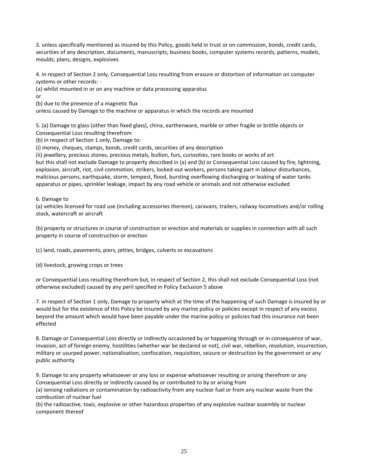3. unless specifically mentioned as insured by this Policy, goods held in trust or on commission, bonds, credit cards, securities of any description, documents, manuscripts, business books, computer systems records, patterns, models, moulds, plans, designs, explosives

4. in respect of Section 2 only, Consequential Loss resulting from erasure or distortion of information on computer systems or other records: -

(a) whilst mounted in or on any machine or data processing apparatus

or

(b) due to the presence of a magnetic flux

unless caused by Damage to the machine or apparatus in which the records are mounted

5. (a) Damage to glass (other than fixed glass), china, earthenware, marble or other fragile or brittle objects or Consequential Loss resulting therefrom

(b) in respect of Section 1 only, Damage to:

(i) money, cheques, stamps, bonds, credit cards, securities of any description

(ii) jewellery, precious stones, precious metals, bullion, furs, curiosities, rare books or works of art but this shall not exclude Damage to property described in (a) and (b) or Consequential Loss caused by fire, lightning, explosion, aircraft, riot, civil commotion, strikers, locked-out workers, persons taking part in labour disturbances, malicious persons, earthquake, storm, tempest, flood, bursting overflowing discharging or leaking of water tanks apparatus or pipes, sprinkler leakage, impact by any road vehicle or animals and not otherwise excluded

#### 6. Damage to

(a) vehicles licensed for road use (including accessories thereon), caravans, trailers, railway locomotives and/or rolling stock, watercraft or aircraft

(b) property or structures in course of construction or erection and materials or supplies in connection with all such property in course of construction or erection

(c) land, roads, pavements, piers, jetties, bridges, culverts or excavations

(d) livestock, growing crops or trees

or Consequential Loss resulting therefrom but, in respect of Section 2, this shall not exclude Consequential Loss (not otherwise excluded) caused by any peril specified in Policy Exclusion 5 above

7. in respect of Section 1 only, Damage to property which at the time of the happening of such Damage is insured by or would but for the existence of this Policy be insured by any marine policy or policies except in respect of any excess beyond the amount which would have been payable under the marine policy or policies had this insurance not been effected

8. Damage or Consequential Loss directly or indirectly occasioned by or happening through or in consequence of war, invasion, act of foreign enemy, hostilities (whether war be declared or not), civil war, rebellion, revolution, insurrection, military or usurped power, nationalisation, confiscation, requisition, seizure or destruction by the government or any public authority

9. Damage to any property whatsoever or any loss or expense whatsoever resulting or arising therefrom or any Consequential Loss directly or indirectly caused by or contributed to by or arising from

(a) ionising radiations or contamination by radioactivity from any nuclear fuel or from any nuclear waste from the combustion of nuclear fuel

(b) the radioactive, toxic, explosive or other hazardous properties of any explosive nuclear assembly or nuclear component thereof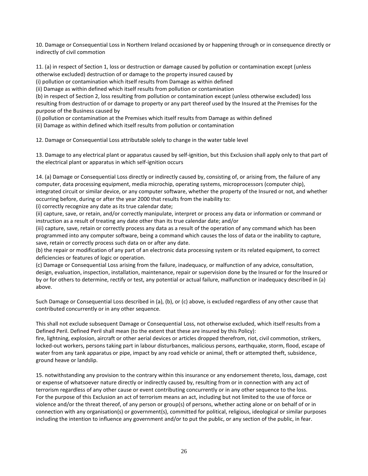10. Damage or Consequential Loss in Northern Ireland occasioned by or happening through or in consequence directly or indirectly of civil commotion

11. (a) in respect of Section 1, loss or destruction or damage caused by pollution or contamination except (unless otherwise excluded) destruction of or damage to the property insured caused by

(i) pollution or contamination which itself results from Damage as within defined

(ii) Damage as within defined which itself results from pollution or contamination

(b) in respect of Section 2, loss resulting from pollution or contamination except (unless otherwise excluded) loss resulting from destruction of or damage to property or any part thereof used by the Insured at the Premises for the purpose of the Business caused by

(i) pollution or contamination at the Premises which itself results from Damage as within defined

(ii) Damage as within defined which itself results from pollution or contamination

12. Damage or Consequential Loss attributable solely to change in the water table level

13. Damage to any electrical plant or apparatus caused by self-ignition, but this Exclusion shall apply only to that part of the electrical plant or apparatus in which self-ignition occurs

14. (a) Damage or Consequential Loss directly or indirectly caused by, consisting of, or arising from, the failure of any computer, data processing equipment, media microchip, operating systems, microprocessors (computer chip), integrated circuit or similar device, or any computer software, whether the property of the Insured or not, and whether occurring before, during or after the year 2000 that results from the inability to:

(i) correctly recognize any date as its true calendar date;

(ii) capture, save, or retain, and/or correctly manipulate, interpret or process any data or information or command or instruction as a result of treating any date other than its true calendar date; and/or

(iii) capture, save, retain or correctly process any data as a result of the operation of any command which has been programmed into any computer software, being a command which causes the loss of data or the inability to capture, save, retain or correctly process such data on or after any date.

(b) the repair or modification of any part of an electronic data processing system or its related equipment, to correct deficiencies or features of logic or operation.

(c) Damage or Consequential Loss arising from the failure, inadequacy, or malfunction of any advice, consultation, design, evaluation, inspection, installation, maintenance, repair or supervision done by the Insured or for the Insured or by or for others to determine, rectify or test, any potential or actual failure, malfunction or inadequacy described in (a) above.

Such Damage or Consequential Loss described in (a), (b), or (c) above, is excluded regardless of any other cause that contributed concurrently or in any other sequence.

This shall not exclude subsequent Damage or Consequential Loss, not otherwise excluded, which itself results from a Defined Peril. Defined Peril shall mean (to the extent that these are insured by this Policy):

fire, lightning, explosion, aircraft or other aerial devices or articles dropped therefrom, riot, civil commotion, strikers, locked-out workers, persons taking part in labour disturbances, malicious persons, earthquake, storm, flood, escape of water from any tank apparatus or pipe, impact by any road vehicle or animal, theft or attempted theft, subsidence, ground heave or landslip.

15. notwithstanding any provision to the contrary within this insurance or any endorsement thereto, loss, damage, cost or expense of whatsoever nature directly or indirectly caused by, resulting from or in connection with any act of terrorism regardless of any other cause or event contributing concurrently or in any other sequence to the loss. For the purpose of this Exclusion an act of terrorism means an act, including but not limited to the use of force or violence and/or the threat thereof, of any person or group(s) of persons, whether acting alone or on behalf of or in connection with any organisation(s) or government(s), committed for political, religious, ideological or similar purposes including the intention to influence any government and/or to put the public, or any section of the public, in fear.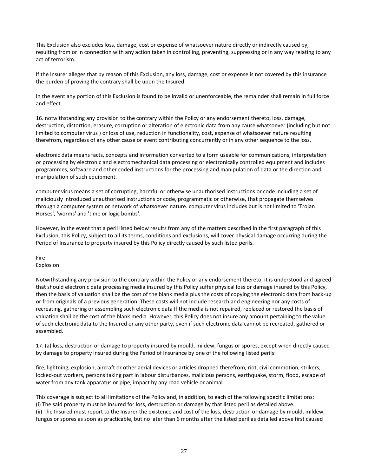This Exclusion also excludes loss, damage, cost or expense of whatsoever nature directly or indirectly caused by, resulting from or in connection with any action taken in controlling, preventing, suppressing or in any way relating to any act of terrorism.

If the Insurer alleges that by reason of this Exclusion, any loss, damage, cost or expense is not covered by this insurance the burden of proving the contrary shall be upon the Insured.

In the event any portion of this Exclusion is found to be invalid or unenforceable, the remainder shall remain in full force and effect.

16. notwithstanding any provision to the contrary within the Policy or any endorsement thereto, loss, damage, destruction, distortion, erasure, corruption or alteration of electronic data from any cause whatsoever (including but not limited to computer virus ) or loss of use, reduction in functionality, cost, expense of whatsoever nature resulting therefrom, regardless of any other cause or event contributing concurrently or in any other sequence to the loss.

electronic data means facts, concepts and information converted to a form useable for communications, interpretation or processing by electronic and electromechanical data processing or electronically controlled equipment and includes programmes, software and other coded instructions for the processing and manipulation of data or the direction and manipulation of such equipment.

computer virus means a set of corrupting, harmful or otherwise unauthorised instructions or code including a set of maliciously introduced unauthorised instructions or code, programmatic or otherwise, that propagate themselves through a computer system or network of whatsoever nature. computer virus includes but is not limited to 'Trojan Horses', 'worms' and 'time or logic bombs'.

However, in the event that a peril listed below results from any of the matters described in the first paragraph of this Exclusion, this Policy, subject to all its terms, conditions and exclusions, will cover physical damage occurring during the Period of Insurance to property insured by this Policy directly caused by such listed perils.

Fire Explosion

Notwithstanding any provision to the contrary within the Policy or any endorsement thereto, it is understood and agreed that should electronic data processing media insured by this Policy suffer physical loss or damage insured by this Policy, then the basis of valuation shall be the cost of the blank media plus the costs of copying the electronic data from back-up or from originals of a previous generation. These costs will not include research and engineering nor any costs of recreating, gathering or assembling such electronic data If the media is not repaired, replaced or restored the basis of valuation shall be the cost of the blank media. However, this Policy does not insure any amount pertaining to the value of such electronic data to the Insured or any other party, even if such electronic data cannot be recreated, gathered or assembled.

17. (a) loss, destruction or damage to property insured by mould, mildew, fungus or spores, except when directly caused by damage to property insured during the Period of Insurance by one of the following listed perils:

fire, lightning, explosion, aircraft or other aerial devices or articles dropped therefrom, riot, civil commotion, strikers, locked-out workers, persons taking part in labour disturbances, malicious persons, earthquake, storm, flood, escape of water from any tank apparatus or pipe, impact by any road vehicle or animal.

This coverage is subject to all limitations of the Policy and, in addition, to each of the following specific limitations: (i) The said property must be insured for loss, destruction or damage by that listed peril as detailed above. (ii) The Insured must report to the Insurer the existence and cost of the loss, destruction or damage by mould, mildew, fungus or spores as soon as practicable, but no later than 6 months after the listed peril as detailed above first caused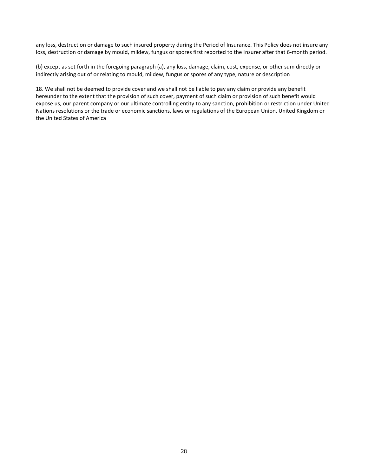any loss, destruction or damage to such insured property during the Period of Insurance. This Policy does not insure any loss, destruction or damage by mould, mildew, fungus or spores first reported to the Insurer after that 6-month period.

(b) except as set forth in the foregoing paragraph (a), any loss, damage, claim, cost, expense, or other sum directly or indirectly arising out of or relating to mould, mildew, fungus or spores of any type, nature or description

18. We shall not be deemed to provide cover and we shall not be liable to pay any claim or provide any benefit hereunder to the extent that the provision of such cover, payment of such claim or provision of such benefit would expose us, our parent company or our ultimate controlling entity to any sanction, prohibition or restriction under United Nations resolutions or the trade or economic sanctions, laws or regulations of the European Union, United Kingdom or the United States of America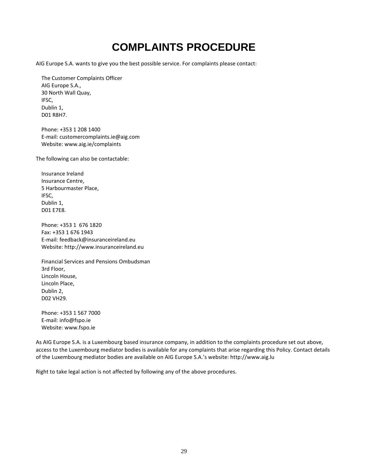## **COMPLAINTS PROCEDURE**

<span id="page-28-0"></span>AIG Europe S.A. wants to give you the best possible service. For complaints please contact:

 The Customer Complaints Officer AIG Europe S.A., 30 North Wall Quay, IFSC, Dublin 1, D01 R8H7.

 Phone: +353 1 208 1400 E-mail: customercomplaints.ie@aig.com Website: www.aig.ie/complaints

The following can also be contactable:

 Insurance Ireland Insurance Centre, 5 Harbourmaster Place, IFSC, Dublin 1, D01 E7E8.

 Phone: +353 1 676 1820 Fax: +353 1 676 1943 E-mail: feedback@insuranceireland.eu Website: http://www.insuranceireland.eu

 Financial Services and Pensions Ombudsman 3rd Floor, Lincoln House, Lincoln Place, Dublin 2, D02 VH29.

 Phone: +353 1 567 7000 E-mail: info@fspo.ie Website: www.fspo.ie

As AIG Europe S.A. is a Luxembourg based insurance company, in addition to the complaints procedure set out above, access to the Luxembourg mediator bodies is available for any complaints that arise regarding this Policy. Contact details of the Luxembourg mediator bodies are available on AIG Europe S.A.'s website: http://www.aig.lu

Right to take legal action is not affected by following any of the above procedures.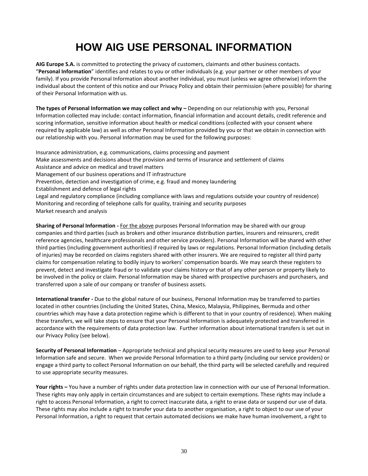## **HOW AIG USE PERSONAL INFORMATION**

<span id="page-29-0"></span>**AIG Europe S.A.** is committed to protecting the privacy of customers, claimants and other business contacts. "**Personal Information**" identifies and relates to you or other individuals (e.g. your partner or other members of your family). If you provide Personal Information about another individual, you must (unless we agree otherwise) inform the individual about the content of this notice and our Privacy Policy and obtain their permission (where possible) for sharing of their Personal Information with us.

The types of Personal Information we may collect and why - Depending on our relationship with you, Personal Information collected may include: contact information, financial information and account details, credit reference and scoring information, sensitive information about health or medical conditions (collected with your consent where required by applicable law) as well as other Personal Information provided by you or that we obtain in connection with our relationship with you. Personal Information may be used for the following purposes:

Insurance administration, e.g. communications, claims processing and payment Make assessments and decisions about the provision and terms of insurance and settlement of claims Assistance and advice on medical and travel matters Management of our business operations and IT infrastructure Prevention, detection and investigation of crime, e.g. fraud and money laundering Establishment and defence of legal rights Legal and regulatory compliance (including compliance with laws and regulations outside your country of residence) Monitoring and recording of telephone calls for quality, training and security purposes Market research and analysis

**Sharing of Personal Information -** For the above purposes Personal Information may be shared with our group companies and third parties (such as brokers and other insurance distribution parties, insurers and reinsurers, credit reference agencies, healthcare professionals and other service providers). Personal Information will be shared with other third parties (including government authorities) if required by laws or regulations. Personal Information (including details of injuries) may be recorded on claims registers shared with other insurers. We are required to register all third party claims for compensation relating to bodily injury to workers' compensation boards. We may search these registers to prevent, detect and investigate fraud or to validate your claims history or that of any other person or property likely to be involved in the policy or claim. Personal Information may be shared with prospective purchasers and purchasers, and transferred upon a sale of our company or transfer of business assets.

**International transfer -** Due to the global nature of our business, Personal Information may be transferred to parties located in other countries (including the United States, China, Mexico, Malaysia, Philippines, Bermuda and other countries which may have a data protection regime which is different to that in your country of residence). When making these transfers, we will take steps to ensure that your Personal Information is adequately protected and transferred in accordance with the requirements of data protection law. Further information about international transfers is set out in our Privacy Policy (see below).

**Security of Personal Information** – Appropriate technical and physical security measures are used to keep your Personal Information safe and secure. When we provide Personal Information to a third party (including our service providers) or engage a third party to collect Personal Information on our behalf, the third party will be selected carefully and required to use appropriate security measures.

**Your rights –** You have a number of rights under data protection law in connection with our use of Personal Information. These rights may only apply in certain circumstances and are subject to certain exemptions. These rights may include a right to access Personal Information, a right to correct inaccurate data, a right to erase data or suspend our use of data. These rights may also include a right to transfer your data to another organisation, a right to object to our use of your Personal Information, a right to request that certain automated decisions we make have human involvement, a right to